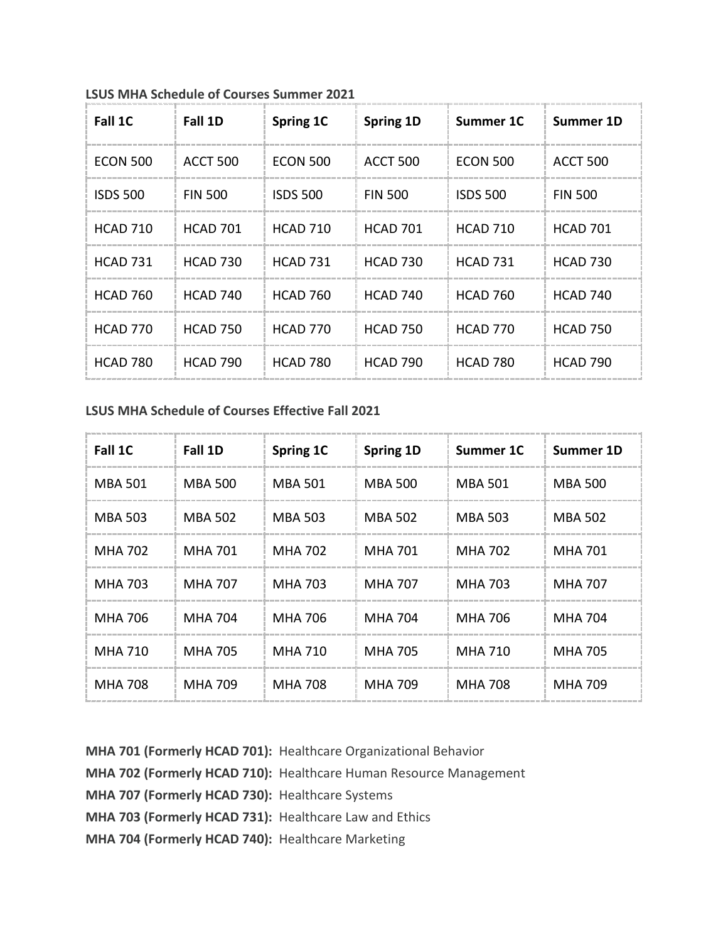| Fall 1C         | Fall 1D         | Spring 1C       | Spring 1D       | Summer 1C       | Summer 1D       |
|-----------------|-----------------|-----------------|-----------------|-----------------|-----------------|
| <b>ECON 500</b> | ACCT 500        | <b>ECON 500</b> | ACCT 500        | <b>ECON 500</b> | ACCT 500        |
| <b>ISDS 500</b> | <b>FIN 500</b>  | <b>ISDS 500</b> | <b>FIN 500</b>  | <b>ISDS 500</b> | <b>FIN 500</b>  |
| <b>HCAD 710</b> | <b>HCAD 701</b> | <b>HCAD 710</b> | <b>HCAD 701</b> | <b>HCAD 710</b> | <b>HCAD 701</b> |
| <b>HCAD 731</b> | <b>HCAD 730</b> | <b>HCAD 731</b> | <b>HCAD 730</b> | <b>HCAD 731</b> | <b>HCAD 730</b> |
| <b>HCAD 760</b> | <b>HCAD 740</b> | <b>HCAD 760</b> | <b>HCAD 740</b> | <b>HCAD 760</b> | <b>HCAD 740</b> |
| <b>HCAD 770</b> | <b>HCAD 750</b> | <b>HCAD 770</b> | <b>HCAD 750</b> | <b>HCAD 770</b> | <b>HCAD 750</b> |
| <b>HCAD 780</b> | <b>HCAD 790</b> | <b>HCAD 780</b> | <b>HCAD 790</b> | <b>HCAD 780</b> | <b>HCAD 790</b> |

**LSUS MHA Schedule of Courses Summer 2021**

## **LSUS MHA Schedule of Courses Effective Fall 2021**

| Fall 1C        | Fall 1D        | Spring 1C | Spring 1D      | Summer 1C      | Summer 1D      |
|----------------|----------------|-----------|----------------|----------------|----------------|
| <b>MBA 501</b> | <b>MBA 500</b> | MBA 501   | MBA 500        | <b>MBA 501</b> | <b>MBA 500</b> |
| <b>MBA 503</b> | <b>MBA 502</b> | MBA 503   | <b>MBA 502</b> | <b>MBA 503</b> | <b>MBA 502</b> |
| <b>MHA 702</b> | MHA 701        | MHA 702   | MHA 701        | MHA 702        | <b>MHA 701</b> |
| <b>MHA 703</b> | <b>MHA 707</b> | MHA 703   | MHA 707        | MHA 703        | <b>MHA 707</b> |
| MHA 706        | <b>MHA 704</b> | MHA 706   | MHA 704        | MHA 706        | MHA 704        |
| <b>MHA 710</b> | <b>MHA 705</b> | MHA 710   | <b>MHA 705</b> | MHA 710        | MHA 705        |
| <b>MHA 708</b> | MHA 709        | MHA 708   | MHA 709        | <b>MHA 708</b> | MHA 709        |

**MHA 701 (Formerly HCAD 701):** Healthcare Organizational Behavior **MHA 702 (Formerly HCAD 710):** Healthcare Human Resource Management **MHA 707 (Formerly HCAD 730):** Healthcare Systems **MHA 703 (Formerly HCAD 731):** Healthcare Law and Ethics **MHA 704 (Formerly HCAD 740):** Healthcare Marketing